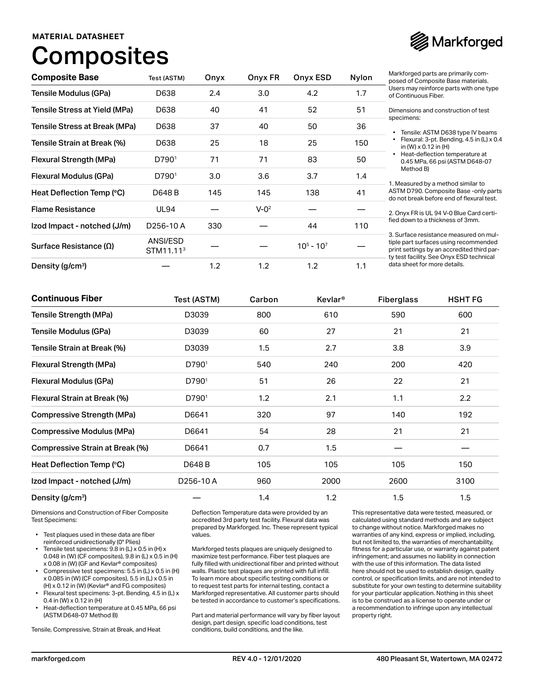### **MATERIAL DATASHEET**

# **Composites**



| <b>Composite Base</b>           | Test (ASTM)                       | Onyx | Onyx FR   | Onyx ESD      | Nylon | Markforged parts are primarily com-<br>posed of Composite Base materials.                                                                                                 |
|---------------------------------|-----------------------------------|------|-----------|---------------|-------|---------------------------------------------------------------------------------------------------------------------------------------------------------------------------|
| Tensile Modulus (GPa)           | D638                              | 2.4  | 3.0       | 4.2           | 1.7   | Users may reinforce parts with one type<br>of Continuous Fiber.                                                                                                           |
| Tensile Stress at Yield (MPa)   | D638                              | 40   | 41        | 52            | 51    | Dimensions and construction of test                                                                                                                                       |
| Tensile Stress at Break (MPa)   | D638                              | 37   | 40        | 50            | 36    | specimens:<br>Tensile: ASTM D638 type IV beams                                                                                                                            |
| Tensile Strain at Break (%)     | D638                              | 25   | 18        | 25            | 150   | Flexural: 3-pt. Bending, 4.5 in (L) x 0.4<br>in (W) $\times$ 0.12 in (H)                                                                                                  |
| Flexural Strength (MPa)         | D790 <sup>1</sup>                 | 71   | 71        | 83            | 50    | Heat-deflection temperature at<br>0.45 MPa, 66 psi (ASTM D648-07<br>Method B)<br>1. Measured by a method similar to                                                       |
| Flexural Modulus (GPa)          | D790 <sup>1</sup>                 | 3.0  | 3.6       | 3.7           | 1.4   |                                                                                                                                                                           |
| Heat Deflection Temp (°C)       | D648 B                            | 145  | 145       | 138           | 41    | ASTM D790. Composite Base - only parts<br>do not break before end of flexural test.                                                                                       |
| <b>Flame Resistance</b>         | <b>UL94</b>                       |      | $V - Q^2$ |               |       | 2. Onyx FR is UL 94 V-0 Blue Card certi-                                                                                                                                  |
| Izod Impact - notched (J/m)     | D <sub>256</sub> -10A             | 330  |           | 44            | 110   | fied down to a thickness of 3mm.                                                                                                                                          |
| Surface Resistance ( $\Omega$ ) | ANSI/ESD<br>STM11.11 <sup>3</sup> |      |           | $10^5 - 10^7$ |       | 3. Surface resistance measured on mul-<br>tiple part surfaces using recommended<br>print settings by an accredited third par-<br>ty test facility. See Onyx ESD technical |
| Density (g/cm <sup>3</sup> )    |                                   | 1.2  | 1.2       | 1.2           | 1.1   | data sheet for more details.                                                                                                                                              |

| <b>Continuous Fiber</b>          | Test (ASTM)           | Carbon | <b>Kevlar</b> <sup>®</sup> | <b>Fiberglass</b><br>590<br>21 | <b>HSHT FG</b> |  |
|----------------------------------|-----------------------|--------|----------------------------|--------------------------------|----------------|--|
| Tensile Strength (MPa)           | D3039                 | 800    | 610                        |                                | 600            |  |
| Tensile Modulus (GPa)            | D3039                 | 60     | 27                         |                                | 21             |  |
| Tensile Strain at Break (%)      | D3039                 | 1.5    | 2.7                        | 3.8                            | 3.9            |  |
| Flexural Strength (MPa)          | D790 <sup>1</sup>     | 540    | 240                        | 200                            | 420            |  |
| Flexural Modulus (GPa)           | D7901                 | 51     | 26                         | 22                             | 21             |  |
| Flexural Strain at Break (%)     | D7901                 | 1.2    | 2.1                        | 1.1                            | 2.2            |  |
| Compressive Strength (MPa)       | D6641                 | 320    | 97                         | 140                            | 192            |  |
| <b>Compressive Modulus (MPa)</b> | D6641                 | 54     | 28                         | 21                             | 21             |  |
| Compressive Strain at Break (%)  | D6641                 | 0.7    | 1.5                        |                                |                |  |
| Heat Deflection Temp (°C)        | D648 B                | 105    | 105                        | 105                            | 150            |  |
| Izod Impact - notched (J/m)      | D <sub>256</sub> -10A | 960    | 2000                       | 2600                           | 3100           |  |
| Density (g/cm <sup>3</sup> )     |                       | 1.4    | 1.2                        | 1.5                            | 1.5            |  |

Dimensions and Construction of Fiber Composite Test Specimens:

- Test plaques used in these data are fiber reinforced unidirectionally (0° Plies)
- Tensile test specimens: 9.8 in (L) x 0.5 in (H) x 0.048 in (W) (CF composites), 9.8 in (L) x 0.5 in (H) x 0.08 in (W) (GF and Kevlar® composites)
- Compressive test specimens: 5.5 in (L) x 0.5 in (H) x 0.085 in (W) (CF composites), 5.5 in (L) x 0.5 in (H) x 0.12 in (W) (Kevlar® and FG composites)
- Flexural test specimens: 3-pt. Bending, 4.5 in (L) x 0.4 in (W) x 0.12 in (H)
- Heat-deflection temperature at 0.45 MPa, 66 psi (ASTM D648-07 Method B)

Tensile, Compressive, Strain at Break, and Heat

Deflection Temperature data were provided by an accredited 3rd party test facility. Flexural data was prepared by Markforged. Inc. These represent typical values.

Markforged tests plaques are uniquely designed to maximize test performance. Fiber test plaques are fully filled with unidirectional fiber and printed without walls. Plastic test plaques are printed with full infill. To learn more about specific testing conditions or to request test parts for internal testing, contact a Markforged representative. All customer parts should be tested in accordance to customer's specifications.

Part and material performance will vary by fiber layout design, part design, specific load conditions, test conditions, build conditions, and the like.

This representative data were tested, measured, or calculated using standard methods and are subject to change without notice. Markforged makes no warranties of any kind, express or implied, including, but not limited to, the warranties of merchantability, fitness for a particular use, or warranty against patent infringement; and assumes no liability in connection with the use of this information. The data listed here should not be used to establish design, quality control, or specification limits, and are not intended to substitute for your own testing to determine suitability for your particular application. Nothing in this sheet is to be construed as a license to operate under or a recommendation to infringe upon any intellectual property right.